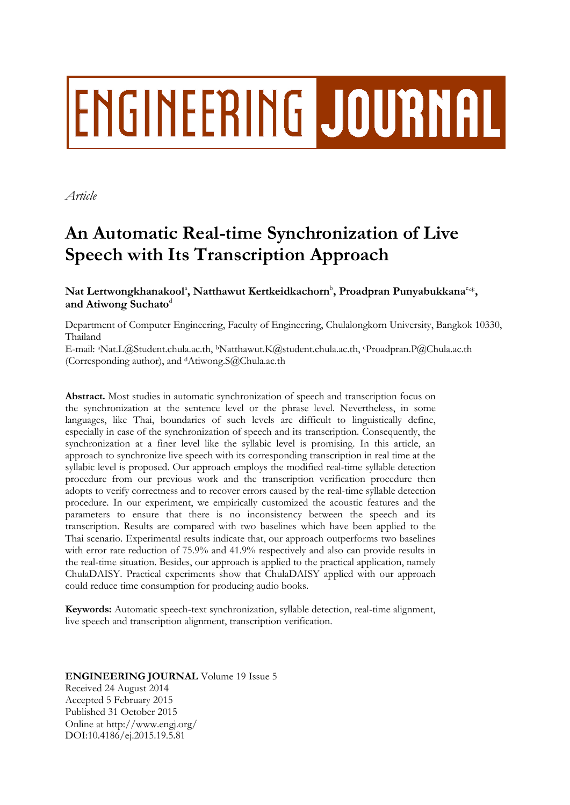# **ENGINEERING JOURNAL**

*Article*

# **An Automatic Real-time Synchronization of Live Speech with Its Transcription Approach**

 $\mathbf{N}$ at Lertwongkhanakool $^{\scriptscriptstyle\mathsf{a}}$ , Natthawut Kertkeidkachorn $^{\scriptscriptstyle\mathsf{b}}$ , Proadpran Punyabukkana $^{\scriptscriptstyle\mathsf{c},\ast}$ , and Atiwong Suchato<sup>d</sup>

Department of Computer Engineering, Faculty of Engineering, Chulalongkorn University, Bangkok 10330, Thailand

E-mail: <sup>a</sup>Nat.L@Student.chula.ac.th, <sup>b</sup>Natthawut.K@student.chula.ac.th, <sup>c</sup>Proadpran.P@Chula.ac.th (Corresponding author), and dAtiwong.S@Chula.ac.th

**Abstract.** Most studies in automatic synchronization of speech and transcription focus on the synchronization at the sentence level or the phrase level. Nevertheless, in some languages, like Thai, boundaries of such levels are difficult to linguistically define, especially in case of the synchronization of speech and its transcription. Consequently, the synchronization at a finer level like the syllabic level is promising. In this article, an approach to synchronize live speech with its corresponding transcription in real time at the syllabic level is proposed. Our approach employs the modified real-time syllable detection procedure from our previous work and the transcription verification procedure then adopts to verify correctness and to recover errors caused by the real-time syllable detection procedure. In our experiment, we empirically customized the acoustic features and the parameters to ensure that there is no inconsistency between the speech and its transcription. Results are compared with two baselines which have been applied to the Thai scenario. Experimental results indicate that, our approach outperforms two baselines with error rate reduction of 75.9% and 41.9% respectively and also can provide results in the real-time situation. Besides, our approach is applied to the practical application, namely ChulaDAISY. Practical experiments show that ChulaDAISY applied with our approach could reduce time consumption for producing audio books.

**Keywords:** Automatic speech-text synchronization, syllable detection, real-time alignment, live speech and transcription alignment, transcription verification.

# **ENGINEERING JOURNAL** Volume 19 Issue 5 Received 24 August 2014 Accepted 5 February 2015 Published 31 October 2015 Online at http://www.engj.org/ DOI:10.4186/ej.2015.19.5.81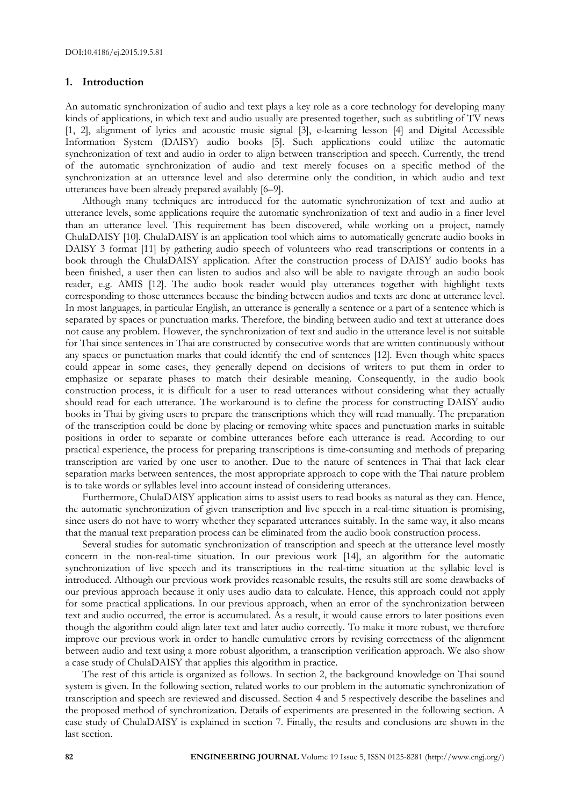## **1. Introduction**

An automatic synchronization of audio and text plays a key role as a core technology for developing many kinds of applications, in which text and audio usually are presented together, such as subtitling of TV news [1, 2], alignment of lyrics and acoustic music signal [3], e-learning lesson [4] and Digital Accessible Information System (DAISY) audio books [5]. Such applications could utilize the automatic synchronization of text and audio in order to align between transcription and speech. Currently, the trend of the automatic synchronization of audio and text merely focuses on a specific method of the synchronization at an utterance level and also determine only the condition, in which audio and text utterances have been already prepared availably [6–9].

Although many techniques are introduced for the automatic synchronization of text and audio at utterance levels, some applications require the automatic synchronization of text and audio in a finer level than an utterance level. This requirement has been discovered, while working on a project, namely ChulaDAISY [10]. ChulaDAISY is an application tool which aims to automatically generate audio books in DAISY 3 format [11] by gathering audio speech of volunteers who read transcriptions or contents in a book through the ChulaDAISY application. After the construction process of DAISY audio books has been finished, a user then can listen to audios and also will be able to navigate through an audio book reader, e.g. AMIS [12]. The audio book reader would play utterances together with highlight texts corresponding to those utterances because the binding between audios and texts are done at utterance level. In most languages, in particular English, an utterance is generally a sentence or a part of a sentence which is separated by spaces or punctuation marks. Therefore, the binding between audio and text at utterance does not cause any problem. However, the synchronization of text and audio in the utterance level is not suitable for Thai since sentences in Thai are constructed by consecutive words that are written continuously without any spaces or punctuation marks that could identify the end of sentences [12]. Even though white spaces could appear in some cases, they generally depend on decisions of writers to put them in order to emphasize or separate phases to match their desirable meaning. Consequently, in the audio book construction process, it is difficult for a user to read utterances without considering what they actually should read for each utterance. The workaround is to define the process for constructing DAISY audio books in Thai by giving users to prepare the transcriptions which they will read manually. The preparation of the transcription could be done by placing or removing white spaces and punctuation marks in suitable positions in order to separate or combine utterances before each utterance is read. According to our practical experience, the process for preparing transcriptions is time-consuming and methods of preparing transcription are varied by one user to another. Due to the nature of sentences in Thai that lack clear separation marks between sentences, the most appropriate approach to cope with the Thai nature problem is to take words or syllables level into account instead of considering utterances.

Furthermore, ChulaDAISY application aims to assist users to read books as natural as they can. Hence, the automatic synchronization of given transcription and live speech in a real-time situation is promising, since users do not have to worry whether they separated utterances suitably. In the same way, it also means that the manual text preparation process can be eliminated from the audio book construction process.

Several studies for automatic synchronization of transcription and speech at the utterance level mostly concern in the non-real-time situation. In our previous work [14], an algorithm for the automatic synchronization of live speech and its transcriptions in the real-time situation at the syllabic level is introduced. Although our previous work provides reasonable results, the results still are some drawbacks of our previous approach because it only uses audio data to calculate. Hence, this approach could not apply for some practical applications. In our previous approach, when an error of the synchronization between text and audio occurred, the error is accumulated. As a result, it would cause errors to later positions even though the algorithm could align later text and later audio correctly. To make it more robust, we therefore improve our previous work in order to handle cumulative errors by revising correctness of the alignment between audio and text using a more robust algorithm, a transcription verification approach. We also show a case study of ChulaDAISY that applies this algorithm in practice.

The rest of this article is organized as follows. In section 2, the background knowledge on Thai sound system is given. In the following section, related works to our problem in the automatic synchronization of transcription and speech are reviewed and discussed. Section 4 and 5 respectively describe the baselines and the proposed method of synchronization. Details of experiments are presented in the following section. A case study of ChulaDAISY is explained in section 7. Finally, the results and conclusions are shown in the last section.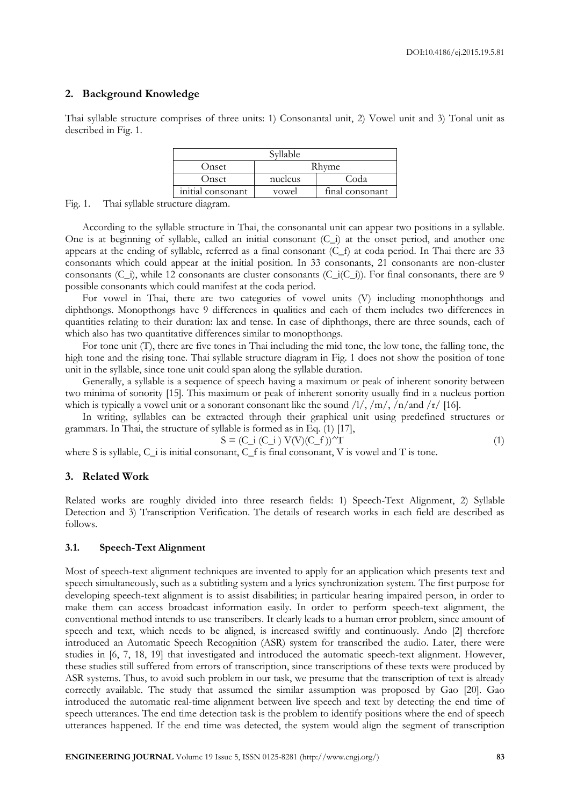# **2. Background Knowledge**

Thai syllable structure comprises of three units: 1) Consonantal unit, 2) Vowel unit and 3) Tonal unit as described in Fig. 1.

| Svllable          |         |                 |  |
|-------------------|---------|-----------------|--|
| Onset             | Rhyme   |                 |  |
| Onset             | nucleus | Coda            |  |
| initial consonant | vowel   | final consonant |  |

Fig. 1. Thai syllable structure diagram.

According to the syllable structure in Thai, the consonantal unit can appear two positions in a syllable. One is at beginning of syllable, called an initial consonant (C\_i) at the onset period, and another one appears at the ending of syllable, referred as a final consonant (C\_f) at coda period. In Thai there are 33 consonants which could appear at the initial position. In 33 consonants, 21 consonants are non-cluster consonants (C\_i), while 12 consonants are cluster consonants (C\_i(C\_i)). For final consonants, there are 9 possible consonants which could manifest at the coda period.

For vowel in Thai, there are two categories of vowel units (V) including monophthongs and diphthongs. Monopthongs have 9 differences in qualities and each of them includes two differences in quantities relating to their duration: lax and tense. In case of diphthongs, there are three sounds, each of which also has two quantitative differences similar to monopthongs.

For tone unit (T), there are five tones in Thai including the mid tone, the low tone, the falling tone, the high tone and the rising tone. Thai syllable structure diagram in Fig. 1 does not show the position of tone unit in the syllable, since tone unit could span along the syllable duration.

Generally, a syllable is a sequence of speech having a maximum or peak of inherent sonority between two minima of sonority [15]. This maximum or peak of inherent sonority usually find in a nucleus portion which is typically a vowel unit or a sonorant consonant like the sound  $\frac{1}{\sqrt{m}}$ ,  $\frac{n}{\pi}$  ( $\frac{n}{\pi}$  [16].

In writing, syllables can be extracted through their graphical unit using predefined structures or grammars. In Thai, the structure of syllable is formed as in Eq. (1) [17],

$$
S = (C_i (C_i) V(V)(C_f))^{\wedge} T
$$
 (1)

where S is syllable, C\_i is initial consonant, C\_f is final consonant, V is vowel and T is tone.

# **3. Related Work**

Related works are roughly divided into three research fields: 1) Speech-Text Alignment, 2) Syllable Detection and 3) Transcription Verification. The details of research works in each field are described as follows.

# **3.1. Speech-Text Alignment**

Most of speech-text alignment techniques are invented to apply for an application which presents text and speech simultaneously, such as a subtitling system and a lyrics synchronization system. The first purpose for developing speech-text alignment is to assist disabilities; in particular hearing impaired person, in order to make them can access broadcast information easily. In order to perform speech-text alignment, the conventional method intends to use transcribers. It clearly leads to a human error problem, since amount of speech and text, which needs to be aligned, is increased swiftly and continuously. Ando [2] therefore introduced an Automatic Speech Recognition (ASR) system for transcribed the audio. Later, there were studies in [6, 7, 18, 19] that investigated and introduced the automatic speech-text alignment. However, these studies still suffered from errors of transcription, since transcriptions of these texts were produced by ASR systems. Thus, to avoid such problem in our task, we presume that the transcription of text is already correctly available. The study that assumed the similar assumption was proposed by Gao [20]. Gao introduced the automatic real-time alignment between live speech and text by detecting the end time of speech utterances. The end time detection task is the problem to identify positions where the end of speech utterances happened. If the end time was detected, the system would align the segment of transcription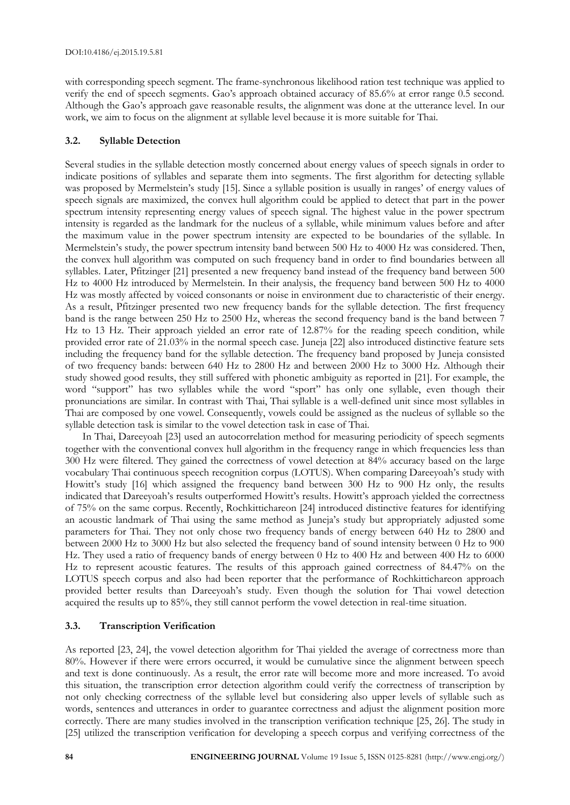with corresponding speech segment. The frame-synchronous likelihood ration test technique was applied to verify the end of speech segments. Gao's approach obtained accuracy of 85.6% at error range 0.5 second. Although the Gao's approach gave reasonable results, the alignment was done at the utterance level. In our work, we aim to focus on the alignment at syllable level because it is more suitable for Thai.

# **3.2. Syllable Detection**

Several studies in the syllable detection mostly concerned about energy values of speech signals in order to indicate positions of syllables and separate them into segments. The first algorithm for detecting syllable was proposed by Mermelstein's study [15]. Since a syllable position is usually in ranges' of energy values of speech signals are maximized, the convex hull algorithm could be applied to detect that part in the power spectrum intensity representing energy values of speech signal. The highest value in the power spectrum intensity is regarded as the landmark for the nucleus of a syllable, while minimum values before and after the maximum value in the power spectrum intensity are expected to be boundaries of the syllable. In Mermelstein's study, the power spectrum intensity band between 500 Hz to 4000 Hz was considered. Then, the convex hull algorithm was computed on such frequency band in order to find boundaries between all syllables. Later, Pfitzinger [21] presented a new frequency band instead of the frequency band between 500 Hz to 4000 Hz introduced by Mermelstein. In their analysis, the frequency band between 500 Hz to 4000 Hz was mostly affected by voiced consonants or noise in environment due to characteristic of their energy. As a result, Pfitzinger presented two new frequency bands for the syllable detection. The first frequency band is the range between 250 Hz to 2500 Hz, whereas the second frequency band is the band between 7 Hz to 13 Hz. Their approach yielded an error rate of 12.87% for the reading speech condition, while provided error rate of 21.03% in the normal speech case. Juneja [22] also introduced distinctive feature sets including the frequency band for the syllable detection. The frequency band proposed by Juneja consisted of two frequency bands: between 640 Hz to 2800 Hz and between 2000 Hz to 3000 Hz. Although their study showed good results, they still suffered with phonetic ambiguity as reported in [21]. For example, the word "support" has two syllables while the word "sport" has only one syllable, even though their pronunciations are similar. In contrast with Thai, Thai syllable is a well-defined unit since most syllables in Thai are composed by one vowel. Consequently, vowels could be assigned as the nucleus of syllable so the syllable detection task is similar to the vowel detection task in case of Thai.

In Thai, Dareeyoah [23] used an autocorrelation method for measuring periodicity of speech segments together with the conventional convex hull algorithm in the frequency range in which frequencies less than 300 Hz were filtered. They gained the correctness of vowel detection at 84% accuracy based on the large vocabulary Thai continuous speech recognition corpus (LOTUS). When comparing Dareeyoah's study with Howitt's study [16] which assigned the frequency band between 300 Hz to 900 Hz only, the results indicated that Dareeyoah's results outperformed Howitt's results. Howitt's approach yielded the correctness of 75% on the same corpus. Recently, Rochkittichareon [24] introduced distinctive features for identifying an acoustic landmark of Thai using the same method as Juneja's study but appropriately adjusted some parameters for Thai. They not only chose two frequency bands of energy between 640 Hz to 2800 and between 2000 Hz to 3000 Hz but also selected the frequency band of sound intensity between 0 Hz to 900 Hz. They used a ratio of frequency bands of energy between 0 Hz to 400 Hz and between 400 Hz to 6000 Hz to represent acoustic features. The results of this approach gained correctness of 84.47% on the LOTUS speech corpus and also had been reporter that the performance of Rochkittichareon approach provided better results than Dareeyoah's study. Even though the solution for Thai vowel detection acquired the results up to 85%, they still cannot perform the vowel detection in real-time situation.

## **3.3. Transcription Verification**

As reported [23, 24], the vowel detection algorithm for Thai yielded the average of correctness more than 80%. However if there were errors occurred, it would be cumulative since the alignment between speech and text is done continuously. As a result, the error rate will become more and more increased. To avoid this situation, the transcription error detection algorithm could verify the correctness of transcription by not only checking correctness of the syllable level but considering also upper levels of syllable such as words, sentences and utterances in order to guarantee correctness and adjust the alignment position more correctly. There are many studies involved in the transcription verification technique [25, 26]. The study in [25] utilized the transcription verification for developing a speech corpus and verifying correctness of the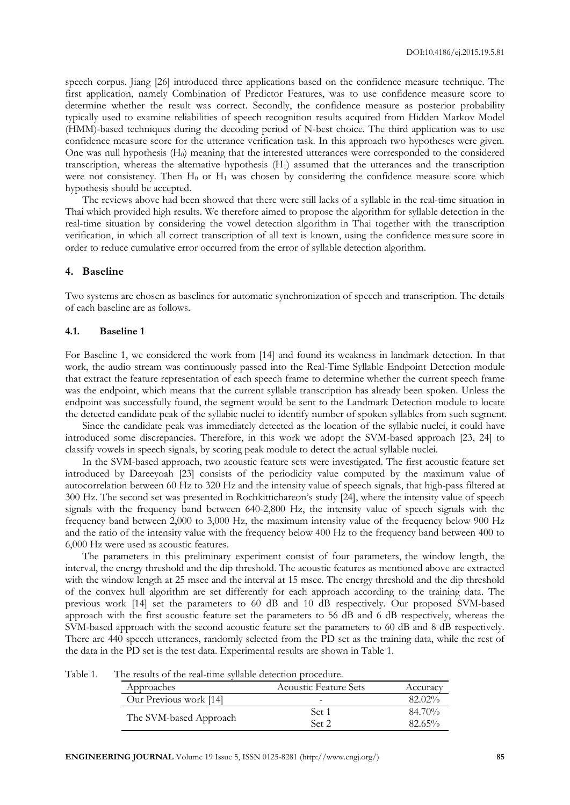speech corpus. Jiang [26] introduced three applications based on the confidence measure technique. The first application, namely Combination of Predictor Features, was to use confidence measure score to determine whether the result was correct. Secondly, the confidence measure as posterior probability typically used to examine reliabilities of speech recognition results acquired from Hidden Markov Model (HMM)-based techniques during the decoding period of N-best choice. The third application was to use confidence measure score for the utterance verification task. In this approach two hypotheses were given. One was null hypothesis  $(H_0)$  meaning that the interested utterances were corresponded to the considered transcription, whereas the alternative hypothesis  $(H<sub>1</sub>)$  assumed that the utterances and the transcription were not consistency. Then  $H_0$  or  $H_1$  was chosen by considering the confidence measure score which hypothesis should be accepted.

The reviews above had been showed that there were still lacks of a syllable in the real-time situation in Thai which provided high results. We therefore aimed to propose the algorithm for syllable detection in the real-time situation by considering the vowel detection algorithm in Thai together with the transcription verification, in which all correct transcription of all text is known, using the confidence measure score in order to reduce cumulative error occurred from the error of syllable detection algorithm.

## **4. Baseline**

Two systems are chosen as baselines for automatic synchronization of speech and transcription. The details of each baseline are as follows.

# **4.1. Baseline 1**

For Baseline 1, we considered the work from [14] and found its weakness in landmark detection. In that work, the audio stream was continuously passed into the Real-Time Syllable Endpoint Detection module that extract the feature representation of each speech frame to determine whether the current speech frame was the endpoint, which means that the current syllable transcription has already been spoken. Unless the endpoint was successfully found, the segment would be sent to the Landmark Detection module to locate the detected candidate peak of the syllabic nuclei to identify number of spoken syllables from such segment.

Since the candidate peak was immediately detected as the location of the syllabic nuclei, it could have introduced some discrepancies. Therefore, in this work we adopt the SVM-based approach [23, 24] to classify vowels in speech signals, by scoring peak module to detect the actual syllable nuclei.

In the SVM-based approach, two acoustic feature sets were investigated. The first acoustic feature set introduced by Dareeyoah [23] consists of the periodicity value computed by the maximum value of autocorrelation between 60 Hz to 320 Hz and the intensity value of speech signals, that high-pass filtered at 300 Hz. The second set was presented in Rochkittichareon's study [24], where the intensity value of speech signals with the frequency band between 640-2,800 Hz, the intensity value of speech signals with the frequency band between 2,000 to 3,000 Hz, the maximum intensity value of the frequency below 900 Hz and the ratio of the intensity value with the frequency below 400 Hz to the frequency band between 400 to 6,000 Hz were used as acoustic features.

The parameters in this preliminary experiment consist of four parameters, the window length, the interval, the energy threshold and the dip threshold. The acoustic features as mentioned above are extracted with the window length at 25 msec and the interval at 15 msec. The energy threshold and the dip threshold of the convex hull algorithm are set differently for each approach according to the training data. The previous work [14] set the parameters to 60 dB and 10 dB respectively. Our proposed SVM-based approach with the first acoustic feature set the parameters to 56 dB and 6 dB respectively, whereas the SVM-based approach with the second acoustic feature set the parameters to 60 dB and 8 dB respectively. There are 440 speech utterances, randomly selected from the PD set as the training data, while the rest of the data in the PD set is the test data. Experimental results are shown in Table 1.

| Table 1. |  |  | The results of the real-time syllable detection procedure. |  |  |
|----------|--|--|------------------------------------------------------------|--|--|
|----------|--|--|------------------------------------------------------------|--|--|

| Approaches             | Acoustic Feature Sets | Accuracy  |
|------------------------|-----------------------|-----------|
| Our Previous work [14] |                       | 82.02%    |
|                        | Set 1                 | 84.70%    |
| The SVM-based Approach | Set 2                 | $82.65\%$ |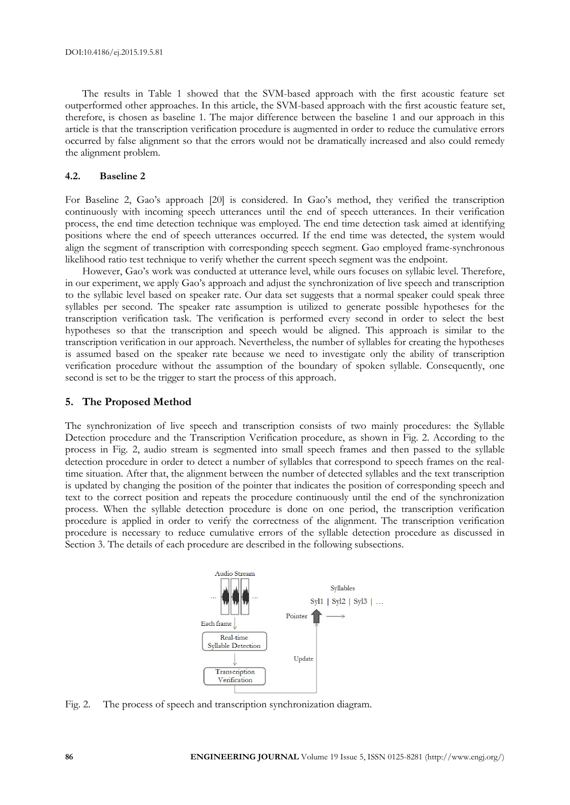The results in Table 1 showed that the SVM-based approach with the first acoustic feature set outperformed other approaches. In this article, the SVM-based approach with the first acoustic feature set, therefore, is chosen as baseline 1. The major difference between the baseline 1 and our approach in this article is that the transcription verification procedure is augmented in order to reduce the cumulative errors occurred by false alignment so that the errors would not be dramatically increased and also could remedy the alignment problem.

#### **4.2. Baseline 2**

For Baseline 2, Gao's approach [20] is considered. In Gao's method, they verified the transcription continuously with incoming speech utterances until the end of speech utterances. In their verification process, the end time detection technique was employed. The end time detection task aimed at identifying positions where the end of speech utterances occurred. If the end time was detected, the system would align the segment of transcription with corresponding speech segment. Gao employed frame-synchronous likelihood ratio test technique to verify whether the current speech segment was the endpoint.

However, Gao's work was conducted at utterance level, while ours focuses on syllabic level. Therefore, in our experiment, we apply Gao's approach and adjust the synchronization of live speech and transcription to the syllabic level based on speaker rate. Our data set suggests that a normal speaker could speak three syllables per second. The speaker rate assumption is utilized to generate possible hypotheses for the transcription verification task. The verification is performed every second in order to select the best hypotheses so that the transcription and speech would be aligned. This approach is similar to the transcription verification in our approach. Nevertheless, the number of syllables for creating the hypotheses is assumed based on the speaker rate because we need to investigate only the ability of transcription verification procedure without the assumption of the boundary of spoken syllable. Consequently, one second is set to be the trigger to start the process of this approach.

#### **5. The Proposed Method**

The synchronization of live speech and transcription consists of two mainly procedures: the Syllable Detection procedure and the Transcription Verification procedure, as shown in Fig. 2. According to the process in Fig. 2, audio stream is segmented into small speech frames and then passed to the syllable detection procedure in order to detect a number of syllables that correspond to speech frames on the realtime situation. After that, the alignment between the number of detected syllables and the text transcription is updated by changing the position of the pointer that indicates the position of corresponding speech and text to the correct position and repeats the procedure continuously until the end of the synchronization process. When the syllable detection procedure is done on one period, the transcription verification procedure is applied in order to verify the correctness of the alignment. The transcription verification procedure is necessary to reduce cumulative errors of the syllable detection procedure as discussed in Section 3. The details of each procedure are described in the following subsections.



Fig. 2. The process of speech and transcription synchronization diagram.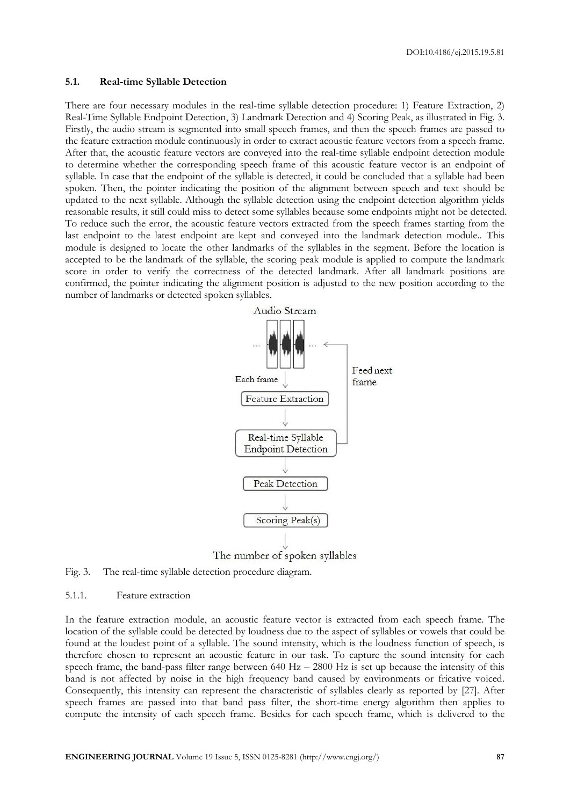#### **5.1. Real-time Syllable Detection**

There are four necessary modules in the real-time syllable detection procedure: 1) Feature Extraction, 2) Real-Time Syllable Endpoint Detection, 3) Landmark Detection and 4) Scoring Peak, as illustrated in Fig. 3. Firstly, the audio stream is segmented into small speech frames, and then the speech frames are passed to the feature extraction module continuously in order to extract acoustic feature vectors from a speech frame. After that, the acoustic feature vectors are conveyed into the real-time syllable endpoint detection module to determine whether the corresponding speech frame of this acoustic feature vector is an endpoint of syllable. In case that the endpoint of the syllable is detected, it could be concluded that a syllable had been spoken. Then, the pointer indicating the position of the alignment between speech and text should be updated to the next syllable. Although the syllable detection using the endpoint detection algorithm yields reasonable results, it still could miss to detect some syllables because some endpoints might not be detected. To reduce such the error, the acoustic feature vectors extracted from the speech frames starting from the last endpoint to the latest endpoint are kept and conveyed into the landmark detection module.. This module is designed to locate the other landmarks of the syllables in the segment. Before the location is accepted to be the landmark of the syllable, the scoring peak module is applied to compute the landmark score in order to verify the correctness of the detected landmark. After all landmark positions are confirmed, the pointer indicating the alignment position is adjusted to the new position according to the number of landmarks or detected spoken syllables.



Fig. 3. The real-time syllable detection procedure diagram.

# 5.1.1. Feature extraction

In the feature extraction module, an acoustic feature vector is extracted from each speech frame. The location of the syllable could be detected by loudness due to the aspect of syllables or vowels that could be found at the loudest point of a syllable. The sound intensity, which is the loudness function of speech, is therefore chosen to represent an acoustic feature in our task. To capture the sound intensity for each speech frame, the band-pass filter range between  $640$  Hz –  $2800$  Hz is set up because the intensity of this band is not affected by noise in the high frequency band caused by environments or fricative voiced. Consequently, this intensity can represent the characteristic of syllables clearly as reported by [27]. After speech frames are passed into that band pass filter, the short-time energy algorithm then applies to compute the intensity of each speech frame. Besides for each speech frame, which is delivered to the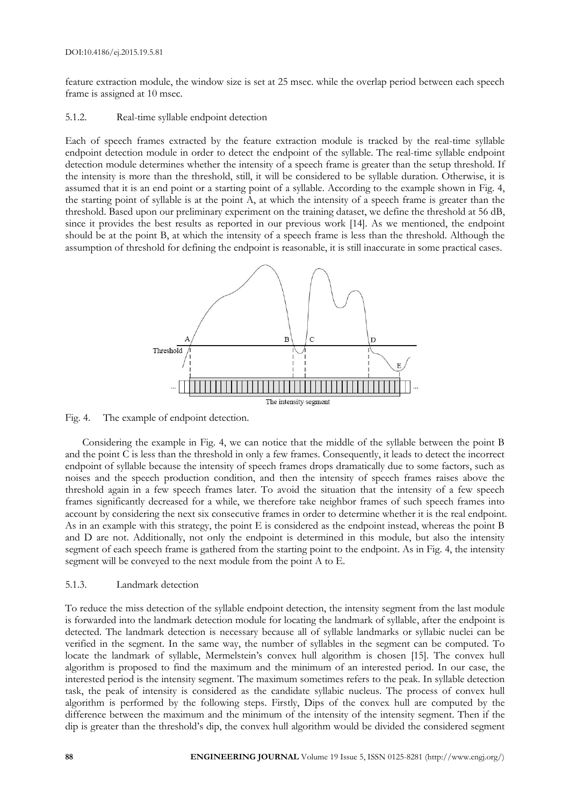feature extraction module, the window size is set at 25 msec. while the overlap period between each speech frame is assigned at 10 msec.

## 5.1.2. Real-time syllable endpoint detection

Each of speech frames extracted by the feature extraction module is tracked by the real-time syllable endpoint detection module in order to detect the endpoint of the syllable. The real-time syllable endpoint detection module determines whether the intensity of a speech frame is greater than the setup threshold. If the intensity is more than the threshold, still, it will be considered to be syllable duration. Otherwise, it is assumed that it is an end point or a starting point of a syllable. According to the example shown in Fig. 4, the starting point of syllable is at the point A, at which the intensity of a speech frame is greater than the threshold. Based upon our preliminary experiment on the training dataset, we define the threshold at 56 dB, since it provides the best results as reported in our previous work [14]. As we mentioned, the endpoint should be at the point B, at which the intensity of a speech frame is less than the threshold. Although the assumption of threshold for defining the endpoint is reasonable, it is still inaccurate in some practical cases.



Fig. 4. The example of endpoint detection.

Considering the example in Fig. 4, we can notice that the middle of the syllable between the point B and the point C is less than the threshold in only a few frames. Consequently, it leads to detect the incorrect endpoint of syllable because the intensity of speech frames drops dramatically due to some factors, such as noises and the speech production condition, and then the intensity of speech frames raises above the threshold again in a few speech frames later. To avoid the situation that the intensity of a few speech frames significantly decreased for a while, we therefore take neighbor frames of such speech frames into account by considering the next six consecutive frames in order to determine whether it is the real endpoint. As in an example with this strategy, the point E is considered as the endpoint instead, whereas the point B and D are not. Additionally, not only the endpoint is determined in this module, but also the intensity segment of each speech frame is gathered from the starting point to the endpoint. As in Fig. 4, the intensity segment will be conveyed to the next module from the point A to E.

## 5.1.3. Landmark detection

To reduce the miss detection of the syllable endpoint detection, the intensity segment from the last module is forwarded into the landmark detection module for locating the landmark of syllable, after the endpoint is detected. The landmark detection is necessary because all of syllable landmarks or syllabic nuclei can be verified in the segment. In the same way, the number of syllables in the segment can be computed. To locate the landmark of syllable, Mermelstein's convex hull algorithm is chosen [15]. The convex hull algorithm is proposed to find the maximum and the minimum of an interested period. In our case, the interested period is the intensity segment. The maximum sometimes refers to the peak. In syllable detection task, the peak of intensity is considered as the candidate syllabic nucleus. The process of convex hull algorithm is performed by the following steps. Firstly, Dips of the convex hull are computed by the difference between the maximum and the minimum of the intensity of the intensity segment. Then if the dip is greater than the threshold's dip, the convex hull algorithm would be divided the considered segment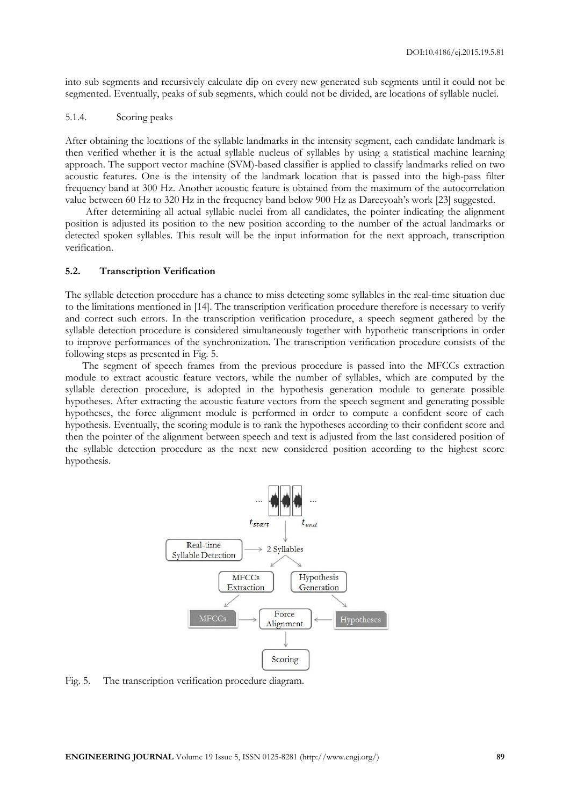into sub segments and recursively calculate dip on every new generated sub segments until it could not be segmented. Eventually, peaks of sub segments, which could not be divided, are locations of syllable nuclei.

#### 5.1.4. Scoring peaks

After obtaining the locations of the syllable landmarks in the intensity segment, each candidate landmark is then verified whether it is the actual syllable nucleus of syllables by using a statistical machine learning approach. The support vector machine (SVM)-based classifier is applied to classify landmarks relied on two acoustic features. One is the intensity of the landmark location that is passed into the high-pass filter frequency band at 300 Hz. Another acoustic feature is obtained from the maximum of the autocorrelation value between 60 Hz to 320 Hz in the frequency band below 900 Hz as Dareeyoah's work [23] suggested.

After determining all actual syllabic nuclei from all candidates, the pointer indicating the alignment position is adjusted its position to the new position according to the number of the actual landmarks or detected spoken syllables. This result will be the input information for the next approach, transcription verification.

#### **5.2. Transcription Verification**

The syllable detection procedure has a chance to miss detecting some syllables in the real-time situation due to the limitations mentioned in [14]. The transcription verification procedure therefore is necessary to verify and correct such errors. In the transcription verification procedure, a speech segment gathered by the syllable detection procedure is considered simultaneously together with hypothetic transcriptions in order to improve performances of the synchronization. The transcription verification procedure consists of the following steps as presented in Fig. 5.

The segment of speech frames from the previous procedure is passed into the MFCCs extraction module to extract acoustic feature vectors, while the number of syllables, which are computed by the syllable detection procedure, is adopted in the hypothesis generation module to generate possible hypotheses. After extracting the acoustic feature vectors from the speech segment and generating possible hypotheses, the force alignment module is performed in order to compute a confident score of each hypothesis. Eventually, the scoring module is to rank the hypotheses according to their confident score and then the pointer of the alignment between speech and text is adjusted from the last considered position of the syllable detection procedure as the next new considered position according to the highest score hypothesis.



Fig. 5. The transcription verification procedure diagram.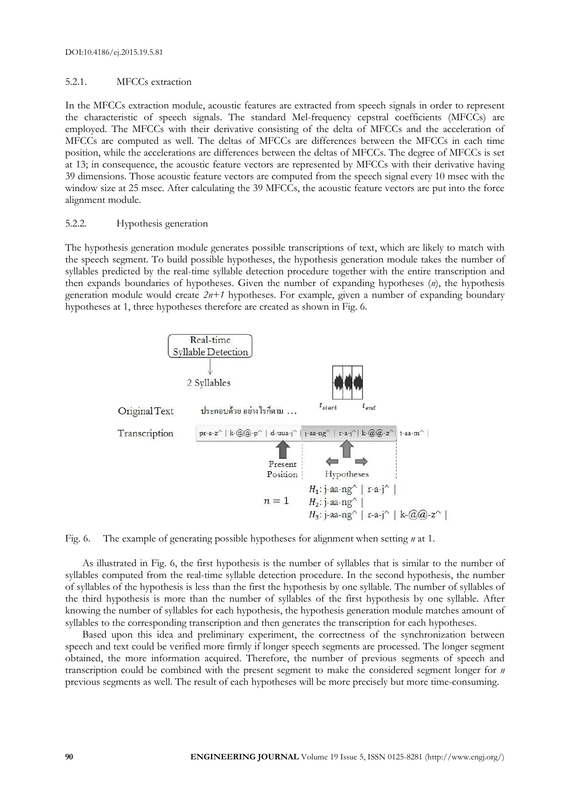# 5.2.1. MFCCs extraction

In the MFCCs extraction module, acoustic features are extracted from speech signals in order to represent the characteristic of speech signals. The standard Mel-frequency cepstral coefficients (MFCCs) are employed. The MFCCs with their derivative consisting of the delta of MFCCs and the acceleration of MFCCs are computed as well. The deltas of MFCCs are differences between the MFCCs in each time position, while the accelerations are differences between the deltas of MFCCs. The degree of MFCCs is set at 13; in consequence, the acoustic feature vectors are represented by MFCCs with their derivative having 39 dimensions. Those acoustic feature vectors are computed from the speech signal every 10 msec with the window size at 25 msec. After calculating the 39 MFCCs, the acoustic feature vectors are put into the force alignment module.

# 5.2.2. Hypothesis generation

The hypothesis generation module generates possible transcriptions of text, which are likely to match with the speech segment. To build possible hypotheses, the hypothesis generation module takes the number of syllables predicted by the real-time syllable detection procedure together with the entire transcription and then expands boundaries of hypotheses. Given the number of expanding hypotheses (*n*), the hypothesis generation module would create *2n+1* hypotheses. For example, given a number of expanding boundary hypotheses at 1, three hypotheses therefore are created as shown in Fig. 6.



Fig. 6. The example of generating possible hypotheses for alignment when setting *n* at 1.

As illustrated in Fig. 6, the first hypothesis is the number of syllables that is similar to the number of syllables computed from the real-time syllable detection procedure. In the second hypothesis, the number of syllables of the hypothesis is less than the first the hypothesis by one syllable. The number of syllables of the third hypothesis is more than the number of syllables of the first hypothesis by one syllable. After knowing the number of syllables for each hypothesis, the hypothesis generation module matches amount of syllables to the corresponding transcription and then generates the transcription for each hypotheses.

Based upon this idea and preliminary experiment, the correctness of the synchronization between speech and text could be verified more firmly if longer speech segments are processed. The longer segment obtained, the more information acquired. Therefore, the number of previous segments of speech and transcription could be combined with the present segment to make the considered segment longer for *n* previous segments as well. The result of each hypotheses will be more precisely but more time-consuming.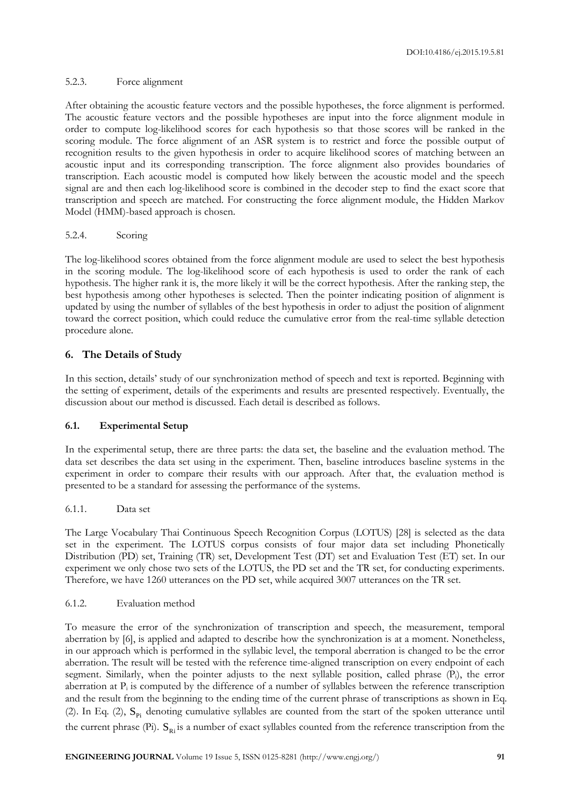# 5.2.3. Force alignment

After obtaining the acoustic feature vectors and the possible hypotheses, the force alignment is performed. The acoustic feature vectors and the possible hypotheses are input into the force alignment module in order to compute log-likelihood scores for each hypothesis so that those scores will be ranked in the scoring module. The force alignment of an ASR system is to restrict and force the possible output of recognition results to the given hypothesis in order to acquire likelihood scores of matching between an acoustic input and its corresponding transcription. The force alignment also provides boundaries of transcription. Each acoustic model is computed how likely between the acoustic model and the speech signal are and then each log-likelihood score is combined in the decoder step to find the exact score that transcription and speech are matched. For constructing the force alignment module, the Hidden Markov Model (HMM)-based approach is chosen.

# 5.2.4. Scoring

The log-likelihood scores obtained from the force alignment module are used to select the best hypothesis in the scoring module. The log-likelihood score of each hypothesis is used to order the rank of each hypothesis. The higher rank it is, the more likely it will be the correct hypothesis. After the ranking step, the best hypothesis among other hypotheses is selected. Then the pointer indicating position of alignment is updated by using the number of syllables of the best hypothesis in order to adjust the position of alignment toward the correct position, which could reduce the cumulative error from the real-time syllable detection procedure alone.

# **6. The Details of Study**

In this section, details' study of our synchronization method of speech and text is reported. Beginning with the setting of experiment, details of the experiments and results are presented respectively. Eventually, the discussion about our method is discussed. Each detail is described as follows.

# **6.1. Experimental Setup**

In the experimental setup, there are three parts: the data set, the baseline and the evaluation method. The data set describes the data set using in the experiment. Then, baseline introduces baseline systems in the experiment in order to compare their results with our approach. After that, the evaluation method is presented to be a standard for assessing the performance of the systems.

## 6.1.1. Data set

The Large Vocabulary Thai Continuous Speech Recognition Corpus (LOTUS) [28] is selected as the data set in the experiment. The LOTUS corpus consists of four major data set including Phonetically Distribution (PD) set, Training (TR) set, Development Test (DT) set and Evaluation Test (ET) set. In our experiment we only chose two sets of the LOTUS, the PD set and the TR set, for conducting experiments. Therefore, we have 1260 utterances on the PD set, while acquired 3007 utterances on the TR set.

## 6.1.2. Evaluation method

To measure the error of the synchronization of transcription and speech, the measurement, temporal aberration by [6], is applied and adapted to describe how the synchronization is at a moment. Nonetheless, in our approach which is performed in the syllabic level, the temporal aberration is changed to be the error aberration. The result will be tested with the reference time-aligned transcription on every endpoint of each segment. Similarly, when the pointer adjusts to the next syllable position, called phrase (P<sub>i</sub>), the error aberration at P<sub>i</sub> is computed by the difference of a number of syllables between the reference transcription and the result from the beginning to the ending time of the current phrase of transcriptions as shown in Eq. (2). In Eq. (2),  $S_{\text{Pi}}$  denoting cumulative syllables are counted from the start of the spoken utterance until the current phrase (Pi).  $S_{Ri}$  is a number of exact syllables counted from the reference transcription from the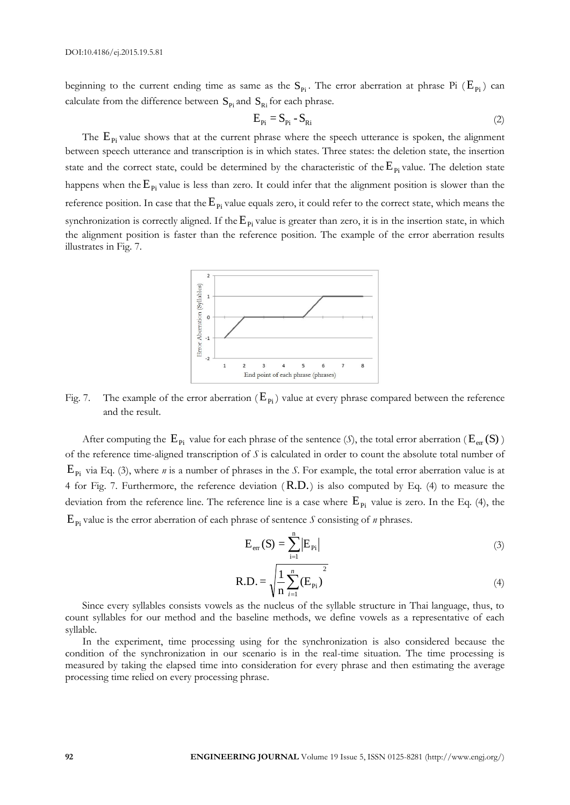beginning to the current ending time as same as the  $S_{p_i}$ . The error aberration at phrase Pi ( $E_{p_i}$ ) can calculate from the difference between  $S_{p_i}$  and  $S_{R_i}$  for each phrase.

$$
E_{\rm pi} = S_{\rm pi} - S_{\rm Ri} \tag{2}
$$

The  $E_{pi}$  value shows that at the current phrase where the speech utterance is spoken, the alignment between speech utterance and transcription is in which states. Three states: the deletion state, the insertion state and the correct state, could be determined by the characteristic of the  $E_{p_i}$  value. The deletion state happens when the  $E_{pi}$  value is less than zero. It could infer that the alignment position is slower than the reference position. In case that the  $E_{p_i}$  value equals zero, it could refer to the correct state, which means the synchronization is correctly aligned. If the  $E_{pi}$  value is greater than zero, it is in the insertion state, in which the alignment position is faster than the reference position. The example of the error aberration results illustrates in Fig. 7.



Fig. 7. The example of the error aberration ( $E_{pi}$ ) value at every phrase compared between the reference and the result.

After computing the  $\,rm E_{\rm Pi} \,$  value for each phrase of the sentence (S), the total error aberration (  $\rm E_{\rm er(S)}$  ) of the reference time-aligned transcription of *S* is calculated in order to count the absolute total number of E<sub>Pi</sub> via Eq. (3), where *n* is a number of phrases in the *S*. For example, the total error aberration value is at 4 for Fig. 7. Furthermore, the reference deviation  $(R.D.)$  is also computed by Eq. (4) to measure the deviation from the reference line. The reference line is a case where  $E_{pi}$  value is zero. In the Eq. (4), the  $E_{pi}$  value is the error aberration of each phrase of sentence *S* consisting of *n* phrases.

$$
E_{\text{err}}(S) = \sum_{i=1}^{n} \left| E_{\text{Pi}} \right| \tag{3}
$$

$$
R.D. = \sqrt{\frac{1}{n} \sum_{i=1}^{n} (E_{\rm pi})^2}
$$
 (4)

Since every syllables consists vowels as the nucleus of the syllable structure in Thai language, thus, to count syllables for our method and the baseline methods, we define vowels as a representative of each syllable.

In the experiment, time processing using for the synchronization is also considered because the condition of the synchronization in our scenario is in the real-time situation. The time processing is measured by taking the elapsed time into consideration for every phrase and then estimating the average processing time relied on every processing phrase.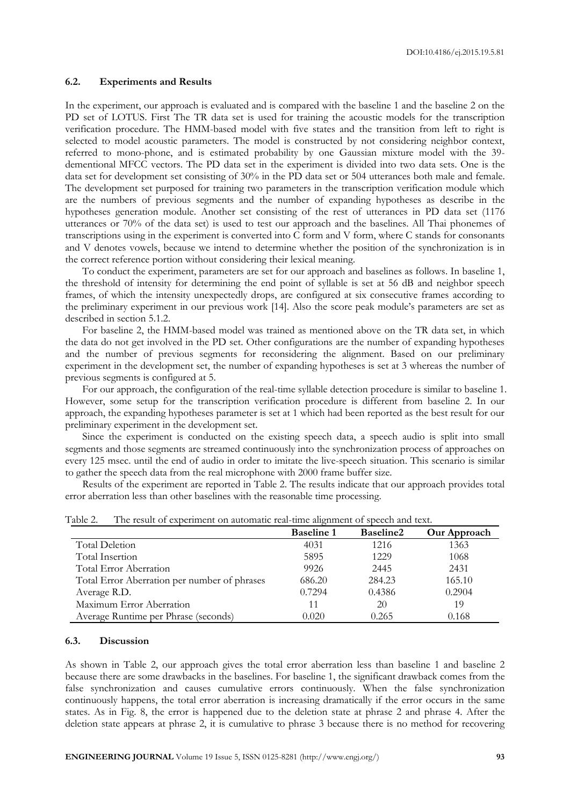DOI:10.4186/ej.2015.19.5.81

# **6.2. Experiments and Results**

In the experiment, our approach is evaluated and is compared with the baseline 1 and the baseline 2 on the PD set of LOTUS. First The TR data set is used for training the acoustic models for the transcription verification procedure. The HMM-based model with five states and the transition from left to right is selected to model acoustic parameters. The model is constructed by not considering neighbor context, referred to mono-phone, and is estimated probability by one Gaussian mixture model with the 39 dementional MFCC vectors. The PD data set in the experiment is divided into two data sets. One is the data set for development set consisting of 30% in the PD data set or 504 utterances both male and female. The development set purposed for training two parameters in the transcription verification module which are the numbers of previous segments and the number of expanding hypotheses as describe in the hypotheses generation module. Another set consisting of the rest of utterances in PD data set (1176 utterances or 70% of the data set) is used to test our approach and the baselines. All Thai phonemes of transcriptions using in the experiment is converted into C form and V form, where C stands for consonants and V denotes vowels, because we intend to determine whether the position of the synchronization is in the correct reference portion without considering their lexical meaning.

To conduct the experiment, parameters are set for our approach and baselines as follows. In baseline 1, the threshold of intensity for determining the end point of syllable is set at 56 dB and neighbor speech frames, of which the intensity unexpectedly drops, are configured at six consecutive frames according to the preliminary experiment in our previous work [14]. Also the score peak module's parameters are set as described in section 5.1.2.

For baseline 2, the HMM-based model was trained as mentioned above on the TR data set, in which the data do not get involved in the PD set. Other configurations are the number of expanding hypotheses and the number of previous segments for reconsidering the alignment. Based on our preliminary experiment in the development set, the number of expanding hypotheses is set at 3 whereas the number of previous segments is configured at 5.

For our approach, the configuration of the real-time syllable detection procedure is similar to baseline 1. However, some setup for the transcription verification procedure is different from baseline 2. In our approach, the expanding hypotheses parameter is set at 1 which had been reported as the best result for our preliminary experiment in the development set.

Since the experiment is conducted on the existing speech data, a speech audio is split into small segments and those segments are streamed continuously into the synchronization process of approaches on every 125 msec. until the end of audio in order to imitate the live-speech situation. This scenario is similar to gather the speech data from the real microphone with 2000 frame buffer size.

Results of the experiment are reported in Table 2. The results indicate that our approach provides total error aberration less than other baselines with the reasonable time processing.

|                                              | <b>Baseline 1</b> | Baseline2 | Our Approach |
|----------------------------------------------|-------------------|-----------|--------------|
| <b>Total Deletion</b>                        | 4031              | 1216      | 1363         |
| Total Insertion                              | 5895              | 1229      | 1068         |
| Total Error Aberration                       | 9926              | 2445      | 2431         |
| Total Error Aberration per number of phrases | 686.20            | 284.23    | 165.10       |
| Average R.D.                                 | 0.7294            | 0.4386    | 0.2904       |
| Maximum Error Aberration                     | 11                | 20        | 19           |
| Average Runtime per Phrase (seconds)         | 0.020             | 0.265     | 0.168        |

Table 2. The result of experiment on automatic real-time alignment of speech and text.

#### **6.3. Discussion**

As shown in Table 2, our approach gives the total error aberration less than baseline 1 and baseline 2 because there are some drawbacks in the baselines. For baseline 1, the significant drawback comes from the false synchronization and causes cumulative errors continuously. When the false synchronization continuously happens, the total error aberration is increasing dramatically if the error occurs in the same states. As in Fig. 8, the error is happened due to the deletion state at phrase 2 and phrase 4. After the deletion state appears at phrase 2, it is cumulative to phrase 3 because there is no method for recovering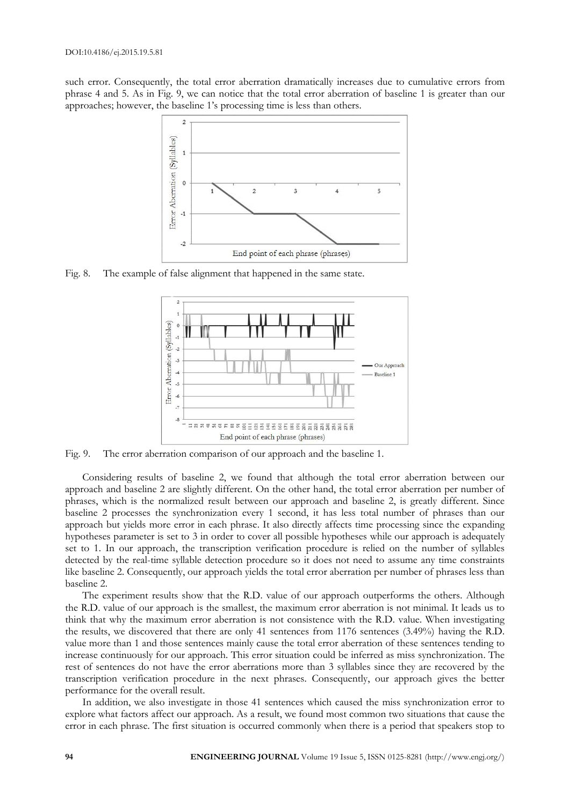such error. Consequently, the total error aberration dramatically increases due to cumulative errors from phrase 4 and 5. As in Fig. 9, we can notice that the total error aberration of baseline 1 is greater than our approaches; however, the baseline 1's processing time is less than others.



Fig. 8. The example of false alignment that happened in the same state.



Fig. 9. The error aberration comparison of our approach and the baseline 1.

Considering results of baseline 2, we found that although the total error aberration between our approach and baseline 2 are slightly different. On the other hand, the total error aberration per number of phrases, which is the normalized result between our approach and baseline 2, is greatly different. Since baseline 2 processes the synchronization every 1 second, it has less total number of phrases than our approach but yields more error in each phrase. It also directly affects time processing since the expanding hypotheses parameter is set to 3 in order to cover all possible hypotheses while our approach is adequately set to 1. In our approach, the transcription verification procedure is relied on the number of syllables detected by the real-time syllable detection procedure so it does not need to assume any time constraints like baseline 2. Consequently, our approach yields the total error aberration per number of phrases less than baseline 2.

The experiment results show that the R.D. value of our approach outperforms the others. Although the R.D. value of our approach is the smallest, the maximum error aberration is not minimal. It leads us to think that why the maximum error aberration is not consistence with the R.D. value. When investigating the results, we discovered that there are only 41 sentences from 1176 sentences (3.49%) having the R.D. value more than 1 and those sentences mainly cause the total error aberration of these sentences tending to increase continuously for our approach. This error situation could be inferred as miss synchronization. The rest of sentences do not have the error aberrations more than 3 syllables since they are recovered by the transcription verification procedure in the next phrases. Consequently, our approach gives the better performance for the overall result.

In addition, we also investigate in those 41 sentences which caused the miss synchronization error to explore what factors affect our approach. As a result, we found most common two situations that cause the error in each phrase. The first situation is occurred commonly when there is a period that speakers stop to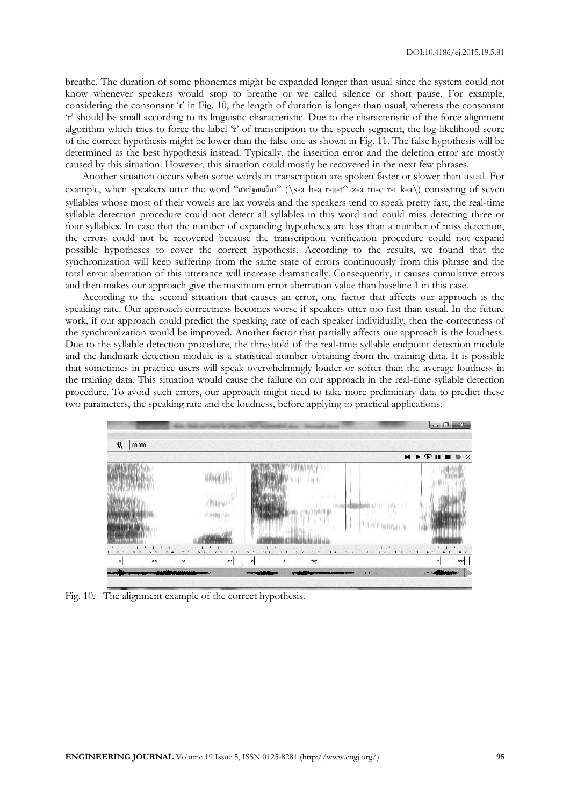breathe. The duration of some phonemes might be expanded longer than usual since the system could not know whenever speakers would stop to breathe or we called silence or short pause. For example, considering the consonant 'r' in Fig. 10, the length of duration is longer than usual, whereas the consonant 'r' should be small according to its linguistic characteristic. Due to the characteristic of the force alignment algorithm which tries to force the label 'r' of transcription to the speech segment, the log-likelihood score of the correct hypothesis might be lower than the false one as shown in Fig. 11. The false hypothesis will be determined as the best hypothesis instead. Typically, the insertion error and the deletion error are mostly caused by this situation. However, this situation could mostly be recovered in the next few phrases.

Another situation occurs when some words in transcription are spoken faster or slower than usual. For example, when speakers utter the word "สหรัฐอเมริกา" (\s-a h-a r-a-t^ z-a m-e r-i k-a\) consisting of seven syllables whose most of their vowels are lax vowels and the speakers tend to speak pretty fast, the real-time syllable detection procedure could not detect all syllables in this word and could miss detecting three or four syllables. In case that the number of expanding hypotheses are less than a number of miss detection, the errors could not be recovered because the transcription verification procedure could not expand possible hypotheses to cover the correct hypothesis. According to the results, we found that the synchronization will keep suffering from the same state of errors continuously from this phrase and the total error aberration of this utterance will increase dramatically. Consequently, it causes cumulative errors and then makes our approach give the maximum error aberration value than baseline 1 in this case.

According to the second situation that causes an error, one factor that affects our approach is the speaking rate. Our approach correctness becomes worse if speakers utter too fast than usual. In the future work, if our approach could predict the speaking rate of each speaker individually, then the correctness of the synchronization would be improved. Another factor that partially affects our approach is the loudness. Due to the syllable detection procedure, the threshold of the real-time syllable endpoint detection module and the landmark detection module is a statistical number obtaining from the training data. It is possible that sometimes in practice users will speak overwhelmingly louder or softer than the average loudness in the training data. This situation would cause the failure on our approach in the real-time syllable detection procedure. To avoid such errors, our approach might need to take more preliminary data to predict these two parameters, the speaking rate and the loudness, before applying to practical applications.

|                                                                    |                                                                                  |                                                         | $\mathbf{x}$<br>$= 0$                                              |
|--------------------------------------------------------------------|----------------------------------------------------------------------------------|---------------------------------------------------------|--------------------------------------------------------------------|
| $\downarrow^+_\Gamma$<br>00.000                                    |                                                                                  |                                                         |                                                                    |
|                                                                    |                                                                                  |                                                         | $M \triangleright \triangleright \blacksquare$                     |
| 2.1<br>2.2<br>2.3<br>2.4<br>2.5<br>aa<br>$\rm W$<br>$\overline{W}$ | 2.7<br>$\overline{2}$ .<br>2.9<br>3.0<br>2.6<br>8<br>$\mathbf{u}\mathbf{u}$<br>k | 3.1<br>3.2<br>3<br>3<br>3.<br>З.<br>. 5<br>4<br>i<br>ng | 4.2<br>3.<br>9<br>4.0<br>4.1<br>з<br>3<br>з<br>6<br>8<br>vv 1<br>r |
|                                                                    |                                                                                  | <b><i><u> Andrew Manager (1989)</u></i></b>             | <b>ALL</b> HILL                                                    |

Fig. 10. The alignment example of the correct hypothesis.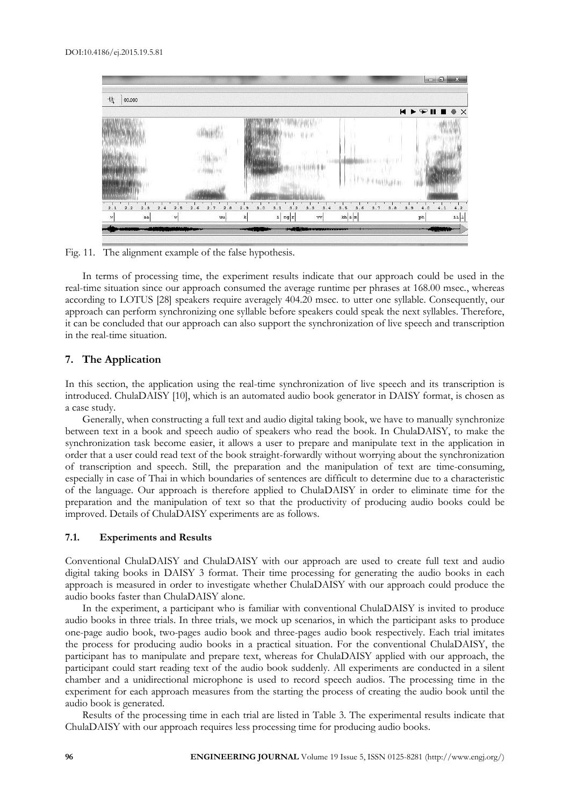| $\frac{1}{4}$<br>00.000                            |                                                      |                                                                                                                                                                                             | $\Sigma$<br>lo d                                                                                          |
|----------------------------------------------------|------------------------------------------------------|---------------------------------------------------------------------------------------------------------------------------------------------------------------------------------------------|-----------------------------------------------------------------------------------------------------------|
|                                                    |                                                      |                                                                                                                                                                                             | $M \triangleright \triangleright \blacksquare$                                                            |
|                                                    |                                                      |                                                                                                                                                                                             |                                                                                                           |
|                                                    |                                                      |                                                                                                                                                                                             |                                                                                                           |
|                                                    |                                                      |                                                                                                                                                                                             |                                                                                                           |
| ×<br>×<br>$\mathbf{r}$<br>2.2<br>2.3<br>2.1<br>2.4 | $\overline{\phantom{a}}$<br>2.7<br>2.8<br>2.5<br>2.6 | т.<br>т<br>T.<br>$\mathbf{r}$<br>$\blacksquare$<br>$\mathbf{I}$<br>$\mathbf{I}$<br>. U<br>-n<br>287<br>п<br>$\mathbf{L}$<br>3.0<br>$3 - 3$<br>2.9<br>3.5<br>3.7<br>3.1<br>3.2<br>3.4<br>3.6 | $\mathbf{1}$ and $\mathbf{1}$ and $\mathbf{1}$<br>$\top$<br>3.8<br>3.9<br>4.1<br>4.2<br>$4 -$<br>$\Omega$ |
| aa<br>W                                            | uu<br>$\rm W$                                        | $i$ ng $r$<br>kh $ a m $<br>k<br>vv<br><b>The Station of Commencer</b><br>المستحقة                                                                                                          | $\pm i$ $\vert$ 1 $\vert$<br>ph<br><b>ALL DIN</b>                                                         |

Fig. 11. The alignment example of the false hypothesis.

In terms of processing time, the experiment results indicate that our approach could be used in the real-time situation since our approach consumed the average runtime per phrases at 168.00 msec., whereas according to LOTUS [28] speakers require averagely 404.20 msec. to utter one syllable. Consequently, our approach can perform synchronizing one syllable before speakers could speak the next syllables. Therefore, it can be concluded that our approach can also support the synchronization of live speech and transcription in the real-time situation.

# **7. The Application**

In this section, the application using the real-time synchronization of live speech and its transcription is introduced. ChulaDAISY [10], which is an automated audio book generator in DAISY format, is chosen as a case study.

Generally, when constructing a full text and audio digital taking book, we have to manually synchronize between text in a book and speech audio of speakers who read the book. In ChulaDAISY, to make the synchronization task become easier, it allows a user to prepare and manipulate text in the application in order that a user could read text of the book straight-forwardly without worrying about the synchronization of transcription and speech. Still, the preparation and the manipulation of text are time-consuming, especially in case of Thai in which boundaries of sentences are difficult to determine due to a characteristic of the language. Our approach is therefore applied to ChulaDAISY in order to eliminate time for the preparation and the manipulation of text so that the productivity of producing audio books could be improved. Details of ChulaDAISY experiments are as follows.

# **7.1. Experiments and Results**

Conventional ChulaDAISY and ChulaDAISY with our approach are used to create full text and audio digital taking books in DAISY 3 format. Their time processing for generating the audio books in each approach is measured in order to investigate whether ChulaDAISY with our approach could produce the audio books faster than ChulaDAISY alone.

In the experiment, a participant who is familiar with conventional ChulaDAISY is invited to produce audio books in three trials. In three trials, we mock up scenarios, in which the participant asks to produce one-page audio book, two-pages audio book and three-pages audio book respectively. Each trial imitates the process for producing audio books in a practical situation. For the conventional ChulaDAISY, the participant has to manipulate and prepare text, whereas for ChulaDAISY applied with our approach, the participant could start reading text of the audio book suddenly. All experiments are conducted in a silent chamber and a unidirectional microphone is used to record speech audios. The processing time in the experiment for each approach measures from the starting the process of creating the audio book until the audio book is generated.

Results of the processing time in each trial are listed in Table 3. The experimental results indicate that ChulaDAISY with our approach requires less processing time for producing audio books.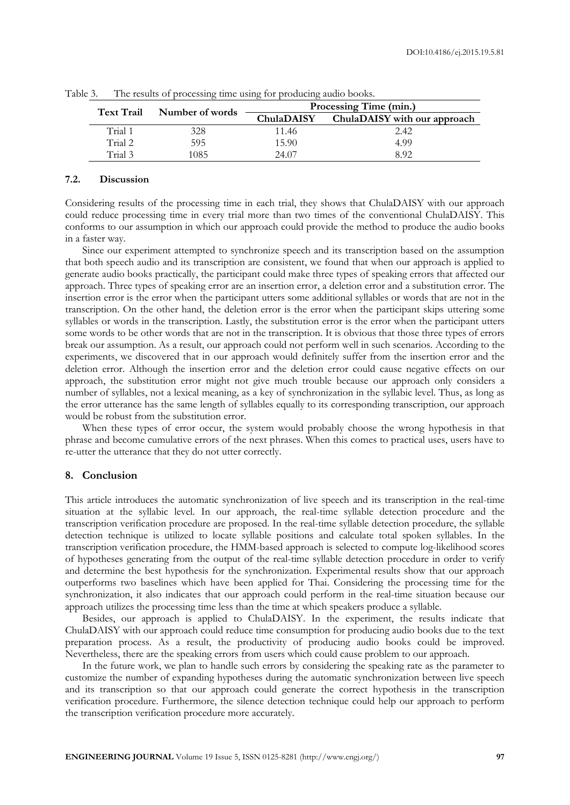|  | <b>Text Trail</b> | Number of words | Processing Time (min.) |                              |
|--|-------------------|-----------------|------------------------|------------------------------|
|  |                   |                 | <b>ChulaDAISY</b>      | ChulaDAISY with our approach |
|  | Trial 1           | 328             | 11.46                  | 2.42                         |
|  | Trial 2           | 595             | 15.90                  | 4.99                         |
|  | Trial 3           | 1085            | 24.07                  | 892                          |

Table 3. The results of processing time using for producing audio books.

#### **7.2. Discussion**

Considering results of the processing time in each trial, they shows that ChulaDAISY with our approach could reduce processing time in every trial more than two times of the conventional ChulaDAISY. This conforms to our assumption in which our approach could provide the method to produce the audio books in a faster way.

Since our experiment attempted to synchronize speech and its transcription based on the assumption that both speech audio and its transcription are consistent, we found that when our approach is applied to generate audio books practically, the participant could make three types of speaking errors that affected our approach. Three types of speaking error are an insertion error, a deletion error and a substitution error. The insertion error is the error when the participant utters some additional syllables or words that are not in the transcription. On the other hand, the deletion error is the error when the participant skips uttering some syllables or words in the transcription. Lastly, the substitution error is the error when the participant utters some words to be other words that are not in the transcription. It is obvious that those three types of errors break our assumption. As a result, our approach could not perform well in such scenarios. According to the experiments, we discovered that in our approach would definitely suffer from the insertion error and the deletion error. Although the insertion error and the deletion error could cause negative effects on our approach, the substitution error might not give much trouble because our approach only considers a number of syllables, not a lexical meaning, as a key of synchronization in the syllabic level. Thus, as long as the error utterance has the same length of syllables equally to its corresponding transcription, our approach would be robust from the substitution error.

When these types of error occur, the system would probably choose the wrong hypothesis in that phrase and become cumulative errors of the next phrases. When this comes to practical uses, users have to re-utter the utterance that they do not utter correctly.

#### **8. Conclusion**

This article introduces the automatic synchronization of live speech and its transcription in the real-time situation at the syllabic level. In our approach, the real-time syllable detection procedure and the transcription verification procedure are proposed. In the real-time syllable detection procedure, the syllable detection technique is utilized to locate syllable positions and calculate total spoken syllables. In the transcription verification procedure, the HMM-based approach is selected to compute log-likelihood scores of hypotheses generating from the output of the real-time syllable detection procedure in order to verify and determine the best hypothesis for the synchronization. Experimental results show that our approach outperforms two baselines which have been applied for Thai. Considering the processing time for the synchronization, it also indicates that our approach could perform in the real-time situation because our approach utilizes the processing time less than the time at which speakers produce a syllable.

Besides, our approach is applied to ChulaDAISY. In the experiment, the results indicate that ChulaDAISY with our approach could reduce time consumption for producing audio books due to the text preparation process. As a result, the productivity of producing audio books could be improved. Nevertheless, there are the speaking errors from users which could cause problem to our approach.

In the future work, we plan to handle such errors by considering the speaking rate as the parameter to customize the number of expanding hypotheses during the automatic synchronization between live speech and its transcription so that our approach could generate the correct hypothesis in the transcription verification procedure. Furthermore, the silence detection technique could help our approach to perform the transcription verification procedure more accurately.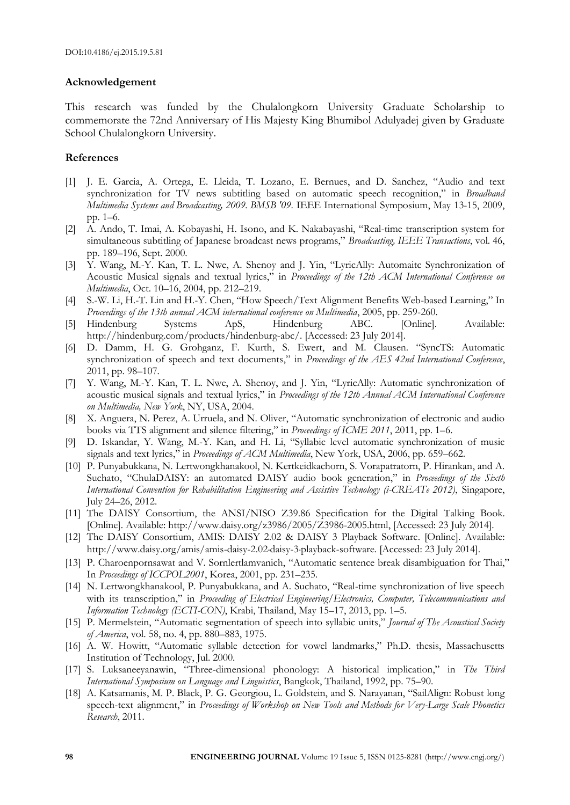# **Acknowledgement**

This research was funded by the Chulalongkorn University Graduate Scholarship to commemorate the 72nd Anniversary of His Majesty King Bhumibol Adulyadej given by Graduate School Chulalongkorn University.

# **References**

- [1] J. E. Garcia, A. Ortega, E. Lleida, T. Lozano, E. Bernues, and D. Sanchez, "Audio and text synchronization for TV news subtitling based on automatic speech recognition," in *Broadband Multimedia Systems and Broadcasting, 2009. BMSB '09*. IEEE International Symposium, May 13-15, 2009, pp. 1–6.
- [2] A. Ando, T. Imai, A. Kobayashi, H. Isono, and K. Nakabayashi, "Real-time transcription system for simultaneous subtitling of Japanese broadcast news programs," *Broadcasting, IEEE Transactions*, vol. 46, pp. 189–196, Sept. 2000.
- [3] Y. Wang, M.-Y. Kan, T. L. Nwe, A. Shenoy and J. Yin, "LyricAlly: Automaitc Synchronization of Acoustic Musical signals and textual lyrics," in *Proceedings of the 12th ACM International Conference on Multimedia*, Oct. 10–16, 2004, pp. 212–219.
- [4] S.-W. Li, H.-T. Lin and H.-Y. Chen, "How Speech/Text Alignment Benefits Web-based Learning," In *Proceedings of the 13th annual ACM international conference on Multimedia*, 2005, pp. 259-260.
- [5] Hindenburg Systems ApS, Hindenburg ABC. [Online]. Available: http://hindenburg.com/products/hindenburg-abc/. [Accessed: 23 July 2014].
- [6] D. Damm, H. G. Grohganz, F. Kurth, S. Ewert, and M. Clausen. "SyncTS: Automatic synchronization of speech and text documents," in *Proceedings of the AES 42nd International Conference*, 2011, pp. 98–107.
- [7] Y. Wang, M.-Y. Kan, T. L. Nwe, A. Shenoy, and J. Yin, "LyricAlly: Automatic synchronization of acoustic musical signals and textual lyrics," in *Proceedings of the 12th Annual ACM International Conference on Multimedia, New York*, NY, USA, 2004.
- [8] X. Anguera, N. Perez, A. Urruela, and N. Oliver, "Automatic synchronization of electronic and audio books via TTS alignment and silence filtering," in *Proceedings of ICME 2011*, 2011, pp. 1–6.
- [9] D. Iskandar, Y. Wang, M.-Y. Kan, and H. Li, "Syllabic level automatic synchronization of music signals and text lyrics," in *Proceedings of ACM Multimedia*, New York, USA, 2006, pp. 659–662.
- [10] P. Punyabukkana, N. Lertwongkhanakool, N. Kertkeidkachorn, S. Vorapatratorn, P. Hirankan, and A. Suchato, "ChulaDAISY: an automated DAISY audio book generation," in *Proceedings of the Sixth International Convention for Rehabilitation Engineering and Assistive Technology (i-CREATe 2012)*, Singapore, July 24–26, 2012.
- [11] The DAISY Consortium, the ANSI/NISO Z39.86 Specification for the Digital Talking Book. [Online]. Available: http://www.daisy.org/z3986/2005/Z3986-2005.html, [Accessed: 23 July 2014].
- [12] The DAISY Consortium, AMIS: DAISY 2.02 & DAISY 3 Playback Software. [Online]. Available: http://www.daisy.org/amis/amis-daisy-2.02-daisy-3-playback-software. [Accessed: 23 July 2014].
- [13] P. Charoenpornsawat and V. Sornlertlamvanich, "Automatic sentence break disambiguation for Thai," In *Proceedings of ICCPOL2001*, Korea, 2001, pp. 231–235.
- [14] N. Lertwongkhanakool, P. Punyabukkana, and A. Suchato, "Real-time synchronization of live speech with its transcription," in *Proceeding of Electrical Engineering/Electronics, Computer, Telecommunications and Information Technology (ECTI-CON)*, Krabi, Thailand, May 15–17, 2013, pp. 1–5.
- [15] P. Mermelstein, "Automatic segmentation of speech into syllabic units," *Journal of The Acoustical Society of America*, vol. 58, no. 4, pp. 880–883, 1975.
- [16] A. W. Howitt, "Automatic syllable detection for vowel landmarks," Ph.D. thesis, Massachusetts Institution of Technology, Jul. 2000.
- [17] S. Luksaneeyanawin, "Three-dimensional phonology: A historical implication," in *The Third International Symposium on Language and Linguistics*, Bangkok, Thailand, 1992, pp. 75–90.
- [18] A. Katsamanis, M. P. Black, P. G. Georgiou, L. Goldstein, and S. Narayanan, "SailAlign: Robust long speech-text alignment," in *Proceedings of Workshop on New Tools and Methods for Very-Large Scale Phonetics Research*, 2011.